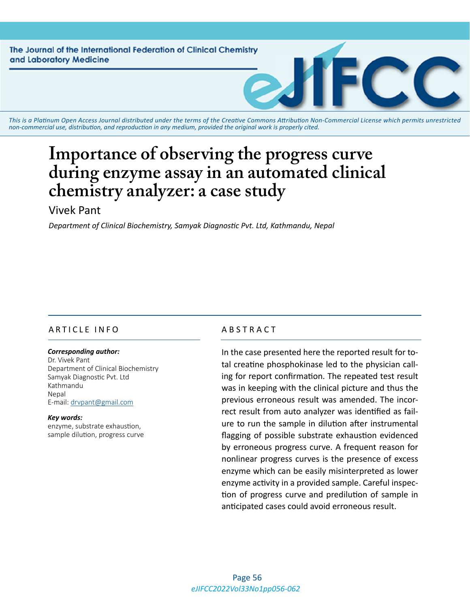The Journal of the International Federation of Clinical Chemistry and Laboratory Medicine



*This is a Platinum Open Access Journal distributed under the terms of the [Creative Commons Attribution Non-Commercial License](https://creativecommons.org/licenses/by-nc/4.0/) which permits unrestricted non-commercial use, distribution, and reproduction in any medium, provided the original work is properly cited.*

# **Importance of observing the progress curve during enzyme assay in an automated clinical chemistry analyzer: a case study**

# Vivek Pant

*Department of Clinical Biochemistry, Samyak Diagnostic Pvt. Ltd, Kathmandu, Nepal*

## ARTICLE INFO ABSTRACT

#### *Corresponding author:*

Dr. Vivek Pant Department of Clinical Biochemistry Samyak Diagnostic Pvt. Ltd Kathmandu Nepal E-mail: [drvpant@gmail.com](mailto:drvpant@gmail.com)

*Key words:* enzyme, substrate exhaustion, sample dilution, progress curve

In the case presented here the reported result for total creatine phosphokinase led to the physician calling for report confirmation. The repeated test result was in keeping with the clinical picture and thus the previous erroneous result was amended. The incorrect result from auto analyzer was identified as failure to run the sample in dilution after instrumental flagging of possible substrate exhaustion evidenced by erroneous progress curve. A frequent reason for nonlinear progress curves is the presence of excess enzyme which can be easily misinterpreted as lower enzyme activity in a provided sample. Careful inspection of progress curve and predilution of sample in anticipated cases could avoid erroneous result.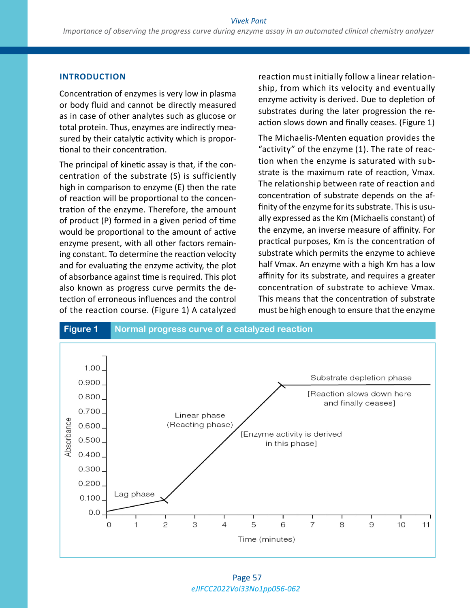#### **INTRODUCTION**

Concentration of enzymes is very low in plasma or body fluid and cannot be directly measured as in case of other analytes such as glucose or total protein. Thus, enzymes are indirectly measured by their catalytic activity which is proportional to their concentration.

The principal of kinetic assay is that, if the concentration of the substrate (S) is sufficiently high in comparison to enzyme (E) then the rate of reaction will be proportional to the concentration of the enzyme. Therefore, the amount of product (P) formed in a given period of time would be proportional to the amount of active enzyme present, with all other factors remaining constant. To determine the reaction velocity and for evaluating the enzyme activity, the plot of absorbance against time is required. This plot also known as progress curve permits the detection of erroneous influences and the control of the reaction course. (Figure 1) A catalyzed

reaction must initially follow a linear relationship, from which its velocity and eventually enzyme activity is derived. Due to depletion of substrates during the later progression the reaction slows down and finally ceases. (Figure 1)

The Michaelis-Menten equation provides the "activity" of the enzyme (1). The rate of reaction when the enzyme is saturated with substrate is the maximum rate of reaction, Vmax. The relationship between rate of reaction and concentration of substrate depends on the affinity of the enzyme for its substrate. This is usually expressed as the Km (Michaelis constant) of the enzyme, an inverse measure of affinity. For practical purposes, Km is the concentration of substrate which permits the enzyme to achieve half Vmax. An enzyme with a high Km has a low affinity for its substrate, and requires a greater concentration of substrate to achieve Vmax. This means that the concentration of substrate must be high enough to ensure that the enzyme



*eJIFCC2022Vol33No1pp056-062* Page 57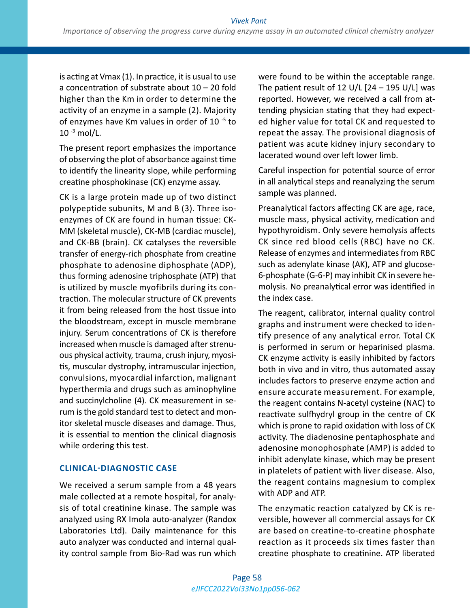is acting at Vmax (1). In practice, it is usual to use a concentration of substrate about 10 – 20 fold higher than the Km in order to determine the activity of an enzyme in a sample (2). Majority of enzymes have Km values in order of 10<sup>-5</sup> to  $10^{-3}$  mol/L.

The present report emphasizes the importance of observing the plot of absorbance against time to identify the linearity slope, while performing creatine phosphokinase (CK) enzyme assay.

CK is a large protein made up of two distinct polypeptide subunits, M and B (3). Three isoenzymes of CK are found in human tissue: CK-MM (skeletal muscle), CK-MB (cardiac muscle), and CK-BB (brain). CK catalyses the reversible transfer of energy-rich phosphate from creatine phosphate to adenosine diphosphate (ADP), thus forming adenosine triphosphate (ATP) that is utilized by muscle myofibrils during its contraction. The molecular structure of CK prevents it from being released from the host tissue into the bloodstream, except in muscle membrane injury. Serum concentrations of CK is therefore increased when muscle is damaged after strenuous physical activity, trauma, crush injury, myositis, muscular dystrophy, intramuscular injection, convulsions, myocardial infarction, malignant hyperthermia and drugs such as aminophyline and succinylcholine (4). CK measurement in serum is the gold standard test to detect and monitor skeletal muscle diseases and damage. Thus, it is essential to mention the clinical diagnosis while ordering this test.

#### **CLINICAL-DIAGNOSTIC CASE**

We received a serum sample from a 48 years male collected at a remote hospital, for analysis of total creatinine kinase. The sample was analyzed using RX Imola auto-analyzer (Randox Laboratories Ltd). Daily maintenance for this auto analyzer was conducted and internal quality control sample from Bio-Rad was run which were found to be within the acceptable range. The patient result of 12  $U/L$  [24 – 195  $U/L$ ] was reported. However, we received a call from attending physician stating that they had expected higher value for total CK and requested to repeat the assay. The provisional diagnosis of patient was acute kidney injury secondary to lacerated wound over left lower limb.

Careful inspection for potential source of error in all analytical steps and reanalyzing the serum sample was planned.

Preanalytical factors affecting CK are age, race, muscle mass, physical activity, medication and hypothyroidism. Only severe hemolysis affects CK since red blood cells (RBC) have no CK. Release of enzymes and intermediates from RBC such as adenylate kinase (AK), ATP and glucose-6-phosphate (G-6-P) may inhibit CK in severe hemolysis. No preanalytical error was identified in the index case.

The reagent, calibrator, internal quality control graphs and instrument were checked to identify presence of any analytical error. Total CK is performed in serum or heparinised plasma. CK enzyme activity is easily inhibited by factors both in vivo and in vitro, thus automated assay includes factors to preserve enzyme action and ensure accurate measurement. For example, the reagent contains N-acetyl cysteine (NAC) to reactivate sulfhydryl group in the centre of CK which is prone to rapid oxidation with loss of CK activity. The diadenosine pentaphosphate and adenosine monophosphate (AMP) is added to inhibit adenylate kinase, which may be present in platelets of patient with liver disease. Also, the reagent contains magnesium to complex with ADP and ATP.

The enzymatic reaction catalyzed by CK is reversible, however all commercial assays for CK are based on creatine-to-creatine phosphate reaction as it proceeds six times faster than creatine phosphate to creatinine. ATP liberated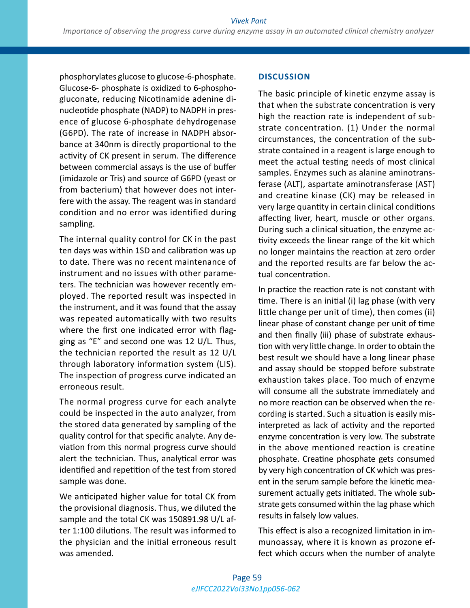phosphorylates glucose to glucose-6-phosphate. Glucose-6- phosphate is oxidized to 6-phosphogluconate, reducing Nicotinamide adenine dinucleotide phosphate (NADP) to NADPH in presence of glucose 6-phosphate dehydrogenase (G6PD). The rate of increase in NADPH absorbance at 340nm is directly proportional to the activity of CK present in serum. The difference between commercial assays is the use of buffer (imidazole or Tris) and source of G6PD (yeast or from bacterium) that however does not interfere with the assay. The reagent was in standard condition and no error was identified during sampling.

The internal quality control for CK in the past ten days was within 1SD and calibration was up to date. There was no recent maintenance of instrument and no issues with other parameters. The technician was however recently employed. The reported result was inspected in the instrument, and it was found that the assay was repeated automatically with two results where the first one indicated error with flagging as "E" and second one was 12 U/L. Thus, the technician reported the result as 12 U/L through laboratory information system (LIS). The inspection of progress curve indicated an erroneous result.

The normal progress curve for each analyte could be inspected in the auto analyzer, from the stored data generated by sampling of the quality control for that specific analyte. Any deviation from this normal progress curve should alert the technician. Thus, analytical error was identified and repetition of the test from stored sample was done.

We anticipated higher value for total CK from the provisional diagnosis. Thus, we diluted the sample and the total CK was 150891.98 U/L after 1:100 dilutions. The result was informed to the physician and the initial erroneous result was amended.

### **DISCUSSION**

The basic principle of kinetic enzyme assay is that when the substrate concentration is very high the reaction rate is independent of substrate concentration. (1) Under the normal circumstances, the concentration of the substrate contained in a reagent is large enough to meet the actual testing needs of most clinical samples. Enzymes such as alanine aminotransferase (ALT), aspartate aminotransferase (AST) and creatine kinase (CK) may be released in very large quantity in certain clinical conditions affecting liver, heart, muscle or other organs. During such a clinical situation, the enzyme activity exceeds the linear range of the kit which no longer maintains the reaction at zero order and the reported results are far below the actual concentration.

In practice the reaction rate is not constant with time. There is an initial (i) lag phase (with very little change per unit of time), then comes (ii) linear phase of constant change per unit of time and then finally (iii) phase of substrate exhaustion with very little change. In order to obtain the best result we should have a long linear phase and assay should be stopped before substrate exhaustion takes place. Too much of enzyme will consume all the substrate immediately and no more reaction can be observed when the recording is started. Such a situation is easily misinterpreted as lack of activity and the reported enzyme concentration is very low. The substrate in the above mentioned reaction is creatine phosphate. Creatine phosphate gets consumed by very high concentration of CK which was present in the serum sample before the kinetic measurement actually gets initiated. The whole substrate gets consumed within the lag phase which results in falsely low values.

This effect is also a recognized limitation in immunoassay, where it is known as prozone effect which occurs when the number of analyte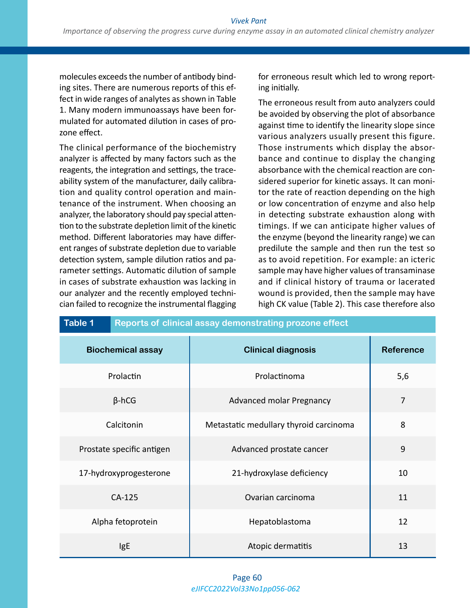molecules exceeds the number of antibody binding sites. There are numerous reports of this effect in wide ranges of analytes as shown in Table 1. Many modern immunoassays have been formulated for automated dilution in cases of prozone effect.

The clinical performance of the biochemistry analyzer is affected by many factors such as the reagents, the integration and settings, the traceability system of the manufacturer, daily calibration and quality control operation and maintenance of the instrument. When choosing an analyzer, the laboratory should pay special attention to the substrate depletion limit of the kinetic method. Different laboratories may have different ranges of substrate depletion due to variable detection system, sample dilution ratios and parameter settings. Automatic dilution of sample in cases of substrate exhaustion was lacking in our analyzer and the recently employed technician failed to recognize the instrumental flagging

for erroneous result which led to wrong reporting initially.

The erroneous result from auto analyzers could be avoided by observing the plot of absorbance against time to identify the linearity slope since various analyzers usually present this figure. Those instruments which display the absorbance and continue to display the changing absorbance with the chemical reaction are considered superior for kinetic assays. It can monitor the rate of reaction depending on the high or low concentration of enzyme and also help in detecting substrate exhaustion along with timings. If we can anticipate higher values of the enzyme (beyond the linearity range) we can predilute the sample and then run the test so as to avoid repetition. For example: an icteric sample may have higher values of transaminase and if clinical history of trauma or lacerated wound is provided, then the sample may have high CK value (Table 2). This case therefore also

| Table 1<br>Reports of clinical assay demonstrating prozone effect |                                        |                  |  |
|-------------------------------------------------------------------|----------------------------------------|------------------|--|
| <b>Biochemical assay</b>                                          | <b>Clinical diagnosis</b>              | <b>Reference</b> |  |
| Prolactin                                                         | Prolactinoma                           | 5,6              |  |
| $\beta$ -hCG                                                      | <b>Advanced molar Pregnancy</b>        | $\overline{7}$   |  |
| Calcitonin                                                        | Metastatic medullary thyroid carcinoma | 8                |  |
| Prostate specific antigen                                         | Advanced prostate cancer               | 9                |  |
| 17-hydroxyprogesterone                                            | 21-hydroxylase deficiency              | 10               |  |
| CA-125                                                            | Ovarian carcinoma                      | 11               |  |
| Alpha fetoprotein                                                 | Hepatoblastoma                         | 12               |  |
| IgE                                                               | Atopic dermatitis                      | 13               |  |

#### *eJIFCC2022Vol33No1pp056-062* Page 60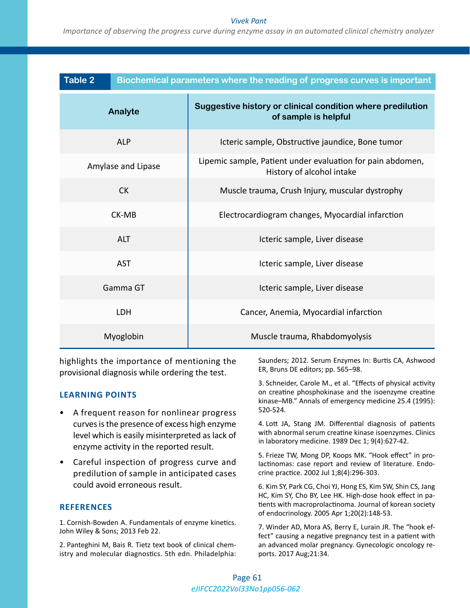#### *Vivek Pant*

*Importance of observing the progress curve during enzyme assay in an automated clinical chemistry analyzer*

| <b>Table 2</b> | Biochemical parameters where the reading of progress curves is important |                                                                                         |  |
|----------------|--------------------------------------------------------------------------|-----------------------------------------------------------------------------------------|--|
| Analyte        |                                                                          | Suggestive history or clinical condition where predilution<br>of sample is helpful      |  |
|                | <b>ALP</b>                                                               | Icteric sample, Obstructive jaundice, Bone tumor                                        |  |
|                | Amylase and Lipase                                                       | Lipemic sample, Patient under evaluation for pain abdomen,<br>History of alcohol intake |  |
|                | <b>CK</b>                                                                | Muscle trauma, Crush Injury, muscular dystrophy                                         |  |
|                | CK-MB                                                                    | Electrocardiogram changes, Myocardial infarction                                        |  |
|                | <b>ALT</b>                                                               | Icteric sample, Liver disease                                                           |  |
|                | <b>AST</b>                                                               | Icteric sample, Liver disease                                                           |  |
|                | Gamma GT                                                                 | Icteric sample, Liver disease                                                           |  |
|                | <b>LDH</b>                                                               | Cancer, Anemia, Myocardial infarction                                                   |  |
|                | Myoglobin                                                                | Muscle trauma, Rhabdomyolysis                                                           |  |

highlights the importance of mentioning the provisional diagnosis while ordering the test.

#### **LEARNING POINTS**

- A frequent reason for nonlinear progress curves is the presence of excess high enzyme level which is easily misinterpreted as lack of enzyme activity in the reported result.
- Careful inspection of progress curve and predilution of sample in anticipated cases could avoid erroneous result.

#### **REFERENCES**

1. Cornish-Bowden A. Fundamentals of enzyme kinetics. John Wiley & Sons; 2013 Feb 22.

2. Panteghini M, Bais R. Tietz text book of clinical chemistry and molecular diagnostics. 5th edn. Philadelphia: Saunders; 2012. Serum Enzymes In: Burtis CA, Ashwood ER, Bruns DE editors; pp. 565–98.

3. Schneider, Carole M., et al. "Effects of physical activity on creatine phosphokinase and the isoenzyme creatine kinase–MB." Annals of emergency medicine 25.4 (1995): 520-524.

4. Lott JA, Stang JM. Differential diagnosis of patients with abnormal serum creatine kinase isoenzymes. Clinics in laboratory medicine. 1989 Dec 1; 9(4):627-42.

5. Frieze TW, Mong DP, Koops MK. "Hook effect" in prolactinomas: case report and review of literature. Endocrine practice. 2002 Jul 1;8(4):296-303.

6. Kim SY, Park CG, Choi YJ, Hong ES, Kim SW, Shin CS, Jang HC, Kim SY, Cho BY, Lee HK. High-dose hook effect in patients with macroprolactinoma. Journal of korean society of endocrinology. 2005 Apr 1;20(2):148-53.

7. Winder AD, Mora AS, Berry E, Lurain JR. The "hook effect" causing a negative pregnancy test in a patient with an advanced molar pregnancy. Gynecologic oncology reports. 2017 Aug;21:34.